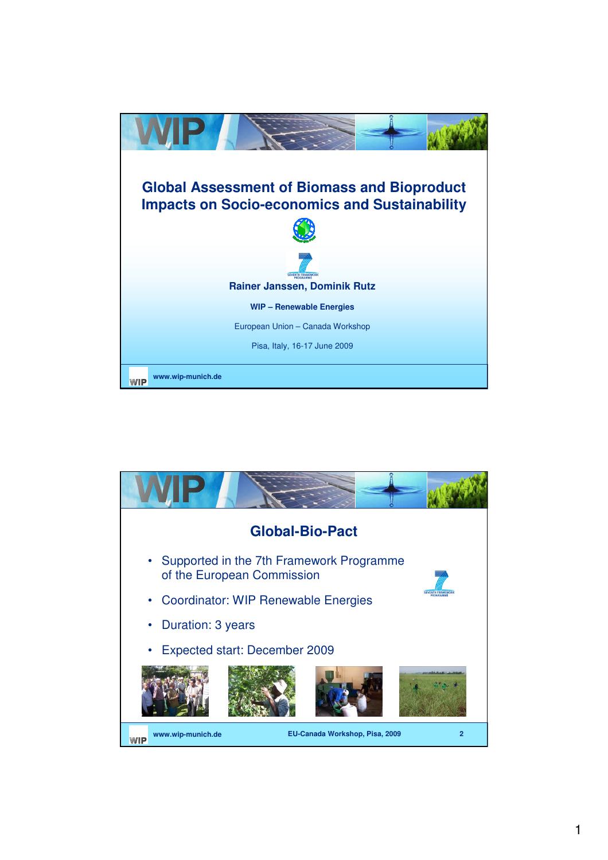

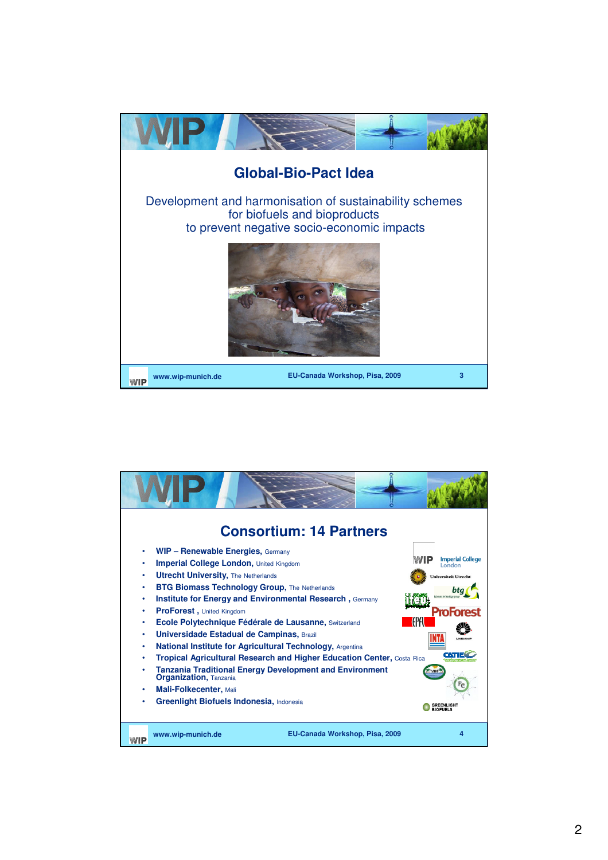

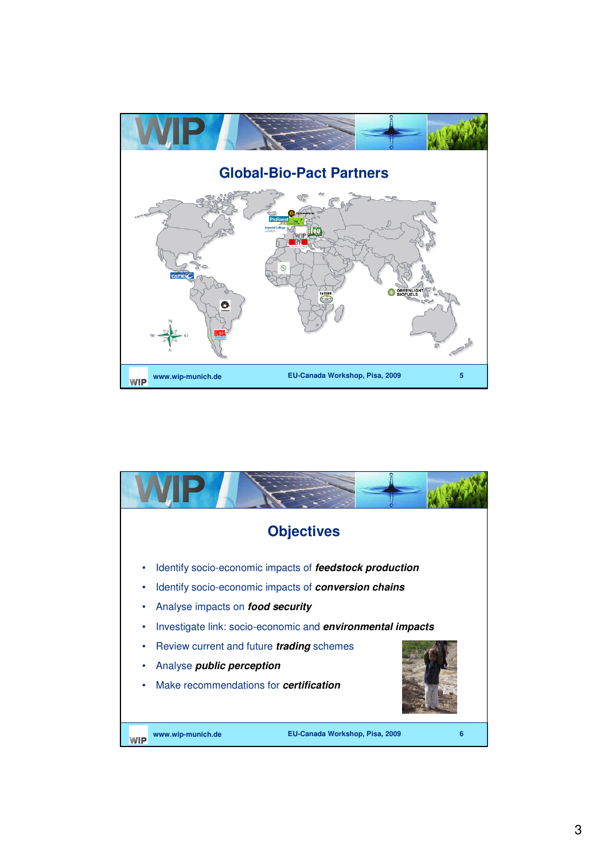

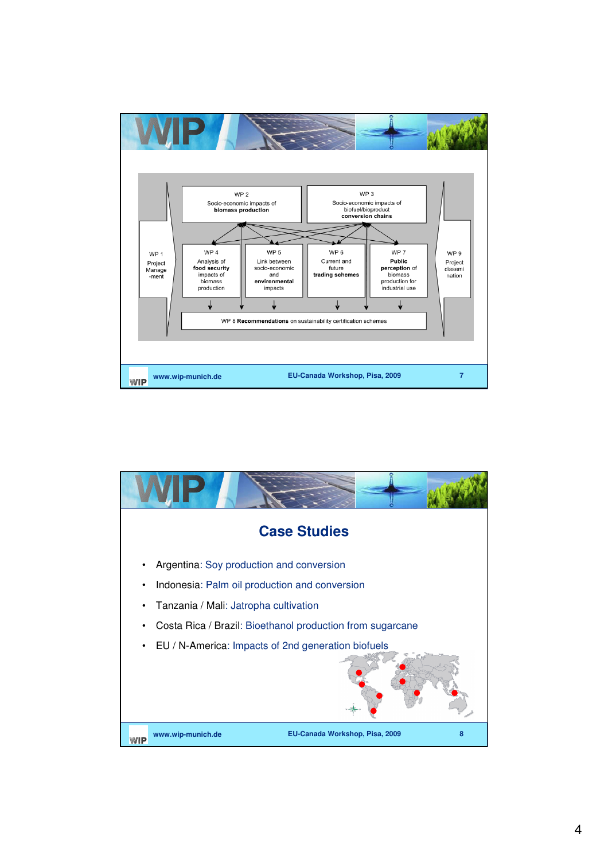

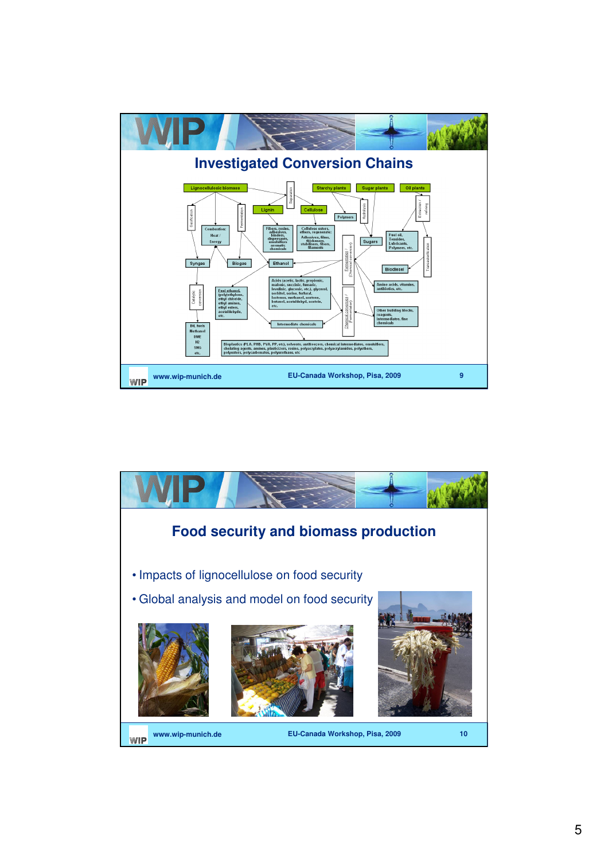

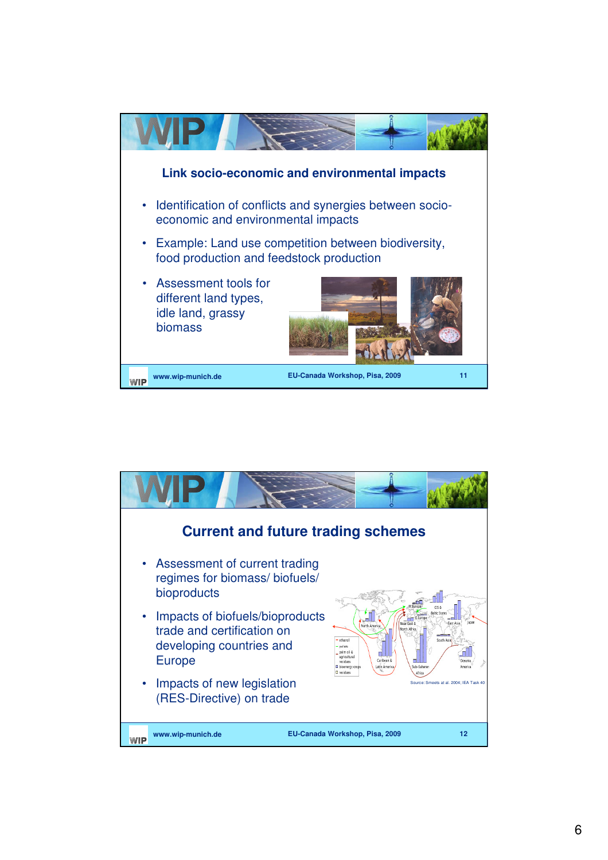

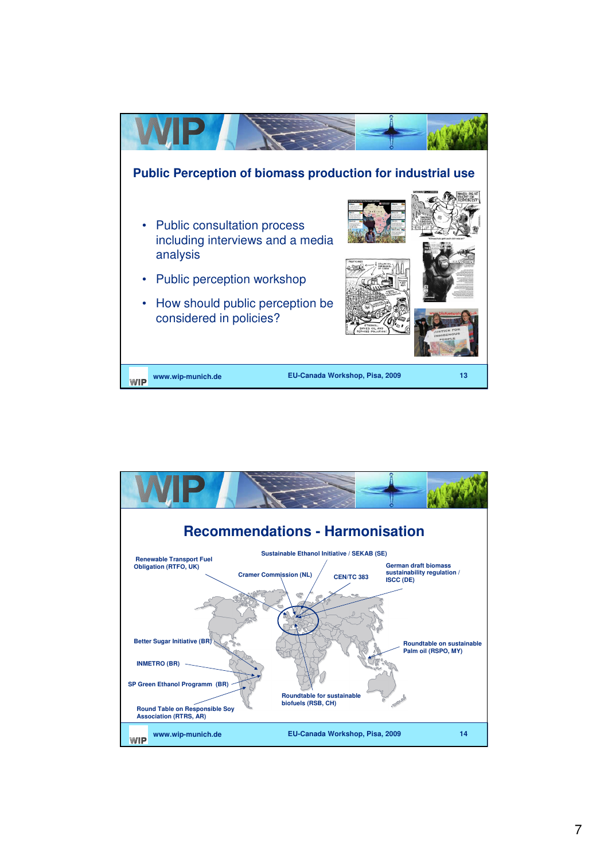